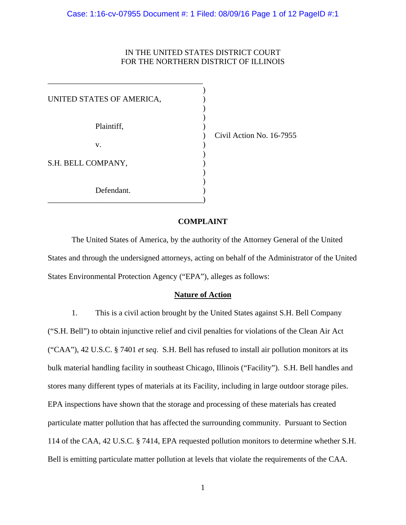# IN THE UNITED STATES DISTRICT COURT FOR THE NORTHERN DISTRICT OF ILLINOIS

| UNITED STATES OF AMERICA, |  |
|---------------------------|--|
|                           |  |
|                           |  |
| Plaintiff,                |  |
|                           |  |
| V.                        |  |
|                           |  |
| S.H. BELL COMPANY,        |  |
|                           |  |
|                           |  |
| Defendant.                |  |
|                           |  |

\_\_\_\_\_\_\_\_\_\_\_\_\_\_\_\_\_\_\_\_\_\_\_\_\_\_\_\_\_\_\_\_\_\_\_\_\_\_\_

) Civil Action No. 16-7955

# **COMPLAINT**

The United States of America, by the authority of the Attorney General of the United States and through the undersigned attorneys, acting on behalf of the Administrator of the United States Environmental Protection Agency ("EPA"), alleges as follows:

# **Nature of Action**

1. This is a civil action brought by the United States against S.H. Bell Company ("S.H. Bell") to obtain injunctive relief and civil penalties for violations of the Clean Air Act ("CAA"), 42 U.S.C. § 7401 *et seq*. S.H. Bell has refused to install air pollution monitors at its bulk material handling facility in southeast Chicago, Illinois ("Facility"). S.H. Bell handles and stores many different types of materials at its Facility, including in large outdoor storage piles. EPA inspections have shown that the storage and processing of these materials has created particulate matter pollution that has affected the surrounding community. Pursuant to Section 114 of the CAA, 42 U.S.C. § 7414, EPA requested pollution monitors to determine whether S.H. Bell is emitting particulate matter pollution at levels that violate the requirements of the CAA.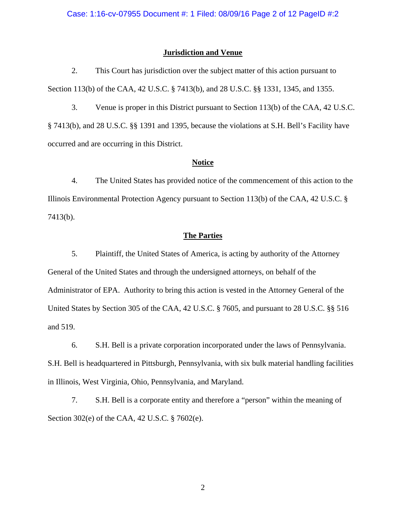# **Jurisdiction and Venue**

2. This Court has jurisdiction over the subject matter of this action pursuant to Section 113(b) of the CAA, 42 U.S.C. § 7413(b), and 28 U.S.C. §§ 1331, 1345, and 1355.

3. Venue is proper in this District pursuant to Section 113(b) of the CAA, 42 U.S.C. § 7413(b), and 28 U.S.C. §§ 1391 and 1395, because the violations at S.H. Bell's Facility have occurred and are occurring in this District.

# **Notice**

4. The United States has provided notice of the commencement of this action to the Illinois Environmental Protection Agency pursuant to Section 113(b) of the CAA, 42 U.S.C. § 7413(b).

## **The Parties**

5. Plaintiff, the United States of America, is acting by authority of the Attorney General of the United States and through the undersigned attorneys, on behalf of the Administrator of EPA. Authority to bring this action is vested in the Attorney General of the United States by Section 305 of the CAA, 42 U.S.C. § 7605, and pursuant to 28 U.S.C. §§ 516 and 519.

6. S.H. Bell is a private corporation incorporated under the laws of Pennsylvania. S.H. Bell is headquartered in Pittsburgh, Pennsylvania, with six bulk material handling facilities in Illinois, West Virginia, Ohio, Pennsylvania, and Maryland.

7. S.H. Bell is a corporate entity and therefore a "person" within the meaning of Section 302(e) of the CAA, 42 U.S.C. § 7602(e).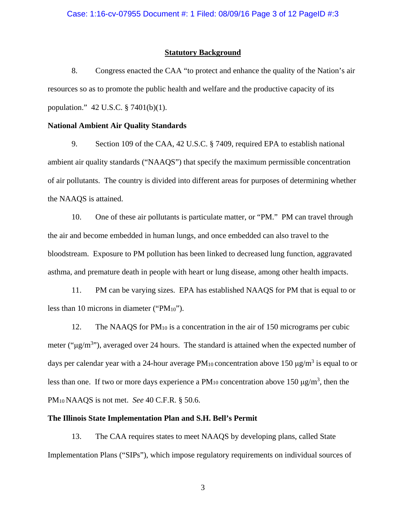# **Statutory Background**

8. Congress enacted the CAA "to protect and enhance the quality of the Nation's air resources so as to promote the public health and welfare and the productive capacity of its population." 42 U.S.C. § 7401(b)(1).

# **National Ambient Air Quality Standards**

9. Section 109 of the CAA, 42 U.S.C. § 7409, required EPA to establish national ambient air quality standards ("NAAQS") that specify the maximum permissible concentration of air pollutants. The country is divided into different areas for purposes of determining whether the NAAQS is attained.

10. One of these air pollutants is particulate matter, or "PM." PM can travel through the air and become embedded in human lungs, and once embedded can also travel to the bloodstream. Exposure to PM pollution has been linked to decreased lung function, aggravated asthma, and premature death in people with heart or lung disease, among other health impacts.

11. PM can be varying sizes. EPA has established NAAQS for PM that is equal to or less than 10 microns in diameter ("PM10").

12. The NAAQS for PM<sub>10</sub> is a concentration in the air of 150 micrograms per cubic meter (" $\mu$ g/m<sup>3</sup>"), averaged over 24 hours. The standard is attained when the expected number of days per calendar year with a 24-hour average  $PM_{10}$  concentration above 150  $\mu$ g/m<sup>3</sup> is equal to or less than one. If two or more days experience a  $PM_{10}$  concentration above 150  $\mu$ g/m<sup>3</sup>, then the PM10 NAAQS is not met. *See* 40 C.F.R. § 50.6.

# **The Illinois State Implementation Plan and S.H. Bell's Permit**

13. The CAA requires states to meet NAAQS by developing plans, called State Implementation Plans ("SIPs"), which impose regulatory requirements on individual sources of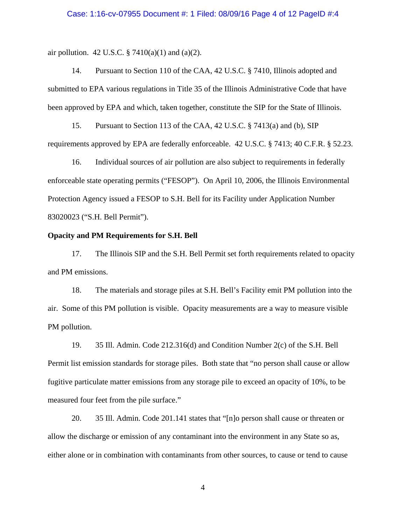air pollution. 42 U.S.C. § 7410(a)(1) and (a)(2).

14. Pursuant to Section 110 of the CAA, 42 U.S.C. § 7410, Illinois adopted and submitted to EPA various regulations in Title 35 of the Illinois Administrative Code that have been approved by EPA and which, taken together, constitute the SIP for the State of Illinois.

15. Pursuant to Section 113 of the CAA, 42 U.S.C. § 7413(a) and (b), SIP requirements approved by EPA are federally enforceable. 42 U.S.C. § 7413; 40 C.F.R. § 52.23.

16. Individual sources of air pollution are also subject to requirements in federally enforceable state operating permits ("FESOP"). On April 10, 2006, the Illinois Environmental Protection Agency issued a FESOP to S.H. Bell for its Facility under Application Number 83020023 ("S.H. Bell Permit").

### **Opacity and PM Requirements for S.H. Bell**

17. The Illinois SIP and the S.H. Bell Permit set forth requirements related to opacity and PM emissions.

18. The materials and storage piles at S.H. Bell's Facility emit PM pollution into the air. Some of this PM pollution is visible. Opacity measurements are a way to measure visible PM pollution.

19. 35 Ill. Admin. Code 212.316(d) and Condition Number 2(c) of the S.H. Bell Permit list emission standards for storage piles. Both state that "no person shall cause or allow fugitive particulate matter emissions from any storage pile to exceed an opacity of 10%, to be measured four feet from the pile surface."

20. 35 Ill. Admin. Code 201.141 states that "[n]o person shall cause or threaten or allow the discharge or emission of any contaminant into the environment in any State so as, either alone or in combination with contaminants from other sources, to cause or tend to cause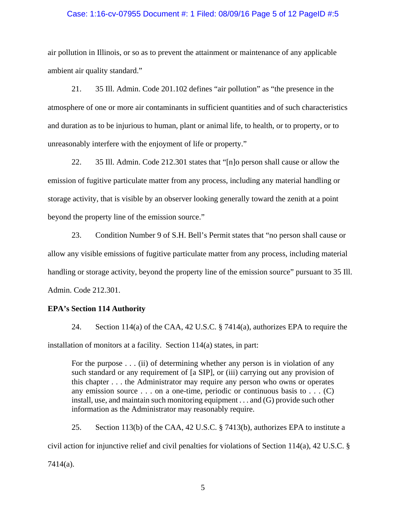### Case: 1:16-cv-07955 Document #: 1 Filed: 08/09/16 Page 5 of 12 PageID #:5

air pollution in Illinois, or so as to prevent the attainment or maintenance of any applicable ambient air quality standard."

21. 35 Ill. Admin. Code 201.102 defines "air pollution" as "the presence in the atmosphere of one or more air contaminants in sufficient quantities and of such characteristics and duration as to be injurious to human, plant or animal life, to health, or to property, or to unreasonably interfere with the enjoyment of life or property."

22. 35 Ill. Admin. Code 212.301 states that "[n]o person shall cause or allow the emission of fugitive particulate matter from any process, including any material handling or storage activity, that is visible by an observer looking generally toward the zenith at a point beyond the property line of the emission source."

23. Condition Number 9 of S.H. Bell's Permit states that "no person shall cause or allow any visible emissions of fugitive particulate matter from any process, including material handling or storage activity, beyond the property line of the emission source" pursuant to 35 Ill. Admin. Code 212.301.

# **EPA's Section 114 Authority**

24. Section 114(a) of the CAA, 42 U.S.C. § 7414(a), authorizes EPA to require the installation of monitors at a facility. Section 114(a) states, in part:

For the purpose . . . (ii) of determining whether any person is in violation of any such standard or any requirement of [a SIP], or (iii) carrying out any provision of this chapter . . . the Administrator may require any person who owns or operates any emission source  $\dots$  on a one-time, periodic or continuous basis to  $\dots$  (C) install, use, and maintain such monitoring equipment . . . and (G) provide such other information as the Administrator may reasonably require.

25. Section 113(b) of the CAA, 42 U.S.C. § 7413(b), authorizes EPA to institute a civil action for injunctive relief and civil penalties for violations of Section 114(a), 42 U.S.C. § 7414(a).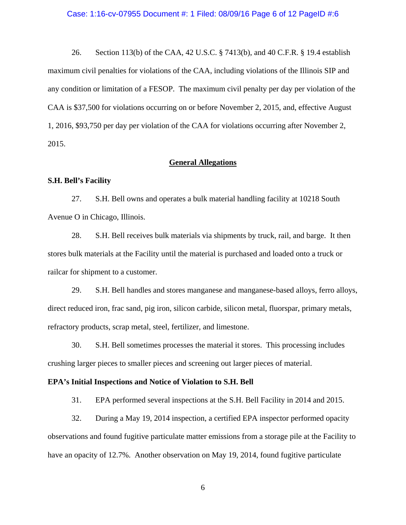#### Case: 1:16-cv-07955 Document #: 1 Filed: 08/09/16 Page 6 of 12 PageID #:6

26. Section 113(b) of the CAA, 42 U.S.C. § 7413(b), and 40 C.F.R. § 19.4 establish maximum civil penalties for violations of the CAA, including violations of the Illinois SIP and any condition or limitation of a FESOP. The maximum civil penalty per day per violation of the CAA is \$37,500 for violations occurring on or before November 2, 2015, and, effective August 1, 2016, \$93,750 per day per violation of the CAA for violations occurring after November 2, 2015.

# **General Allegations**

## **S.H. Bell's Facility**

27. S.H. Bell owns and operates a bulk material handling facility at 10218 South Avenue O in Chicago, Illinois.

28. S.H. Bell receives bulk materials via shipments by truck, rail, and barge. It then stores bulk materials at the Facility until the material is purchased and loaded onto a truck or railcar for shipment to a customer.

29. S.H. Bell handles and stores manganese and manganese-based alloys, ferro alloys, direct reduced iron, frac sand, pig iron, silicon carbide, silicon metal, fluorspar, primary metals, refractory products, scrap metal, steel, fertilizer, and limestone.

30. S.H. Bell sometimes processes the material it stores. This processing includes crushing larger pieces to smaller pieces and screening out larger pieces of material.

#### **EPA's Initial Inspections and Notice of Violation to S.H. Bell**

31. EPA performed several inspections at the S.H. Bell Facility in 2014 and 2015.

32. During a May 19, 2014 inspection, a certified EPA inspector performed opacity observations and found fugitive particulate matter emissions from a storage pile at the Facility to have an opacity of 12.7%. Another observation on May 19, 2014, found fugitive particulate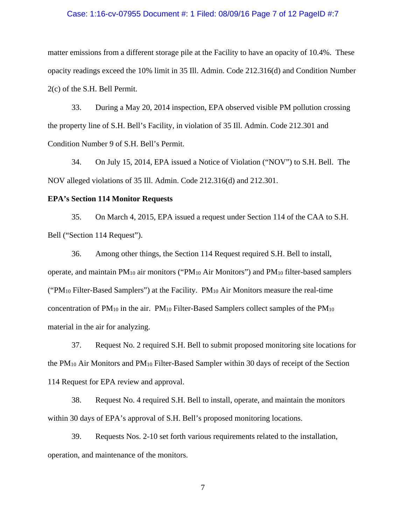#### Case: 1:16-cv-07955 Document #: 1 Filed: 08/09/16 Page 7 of 12 PageID #:7

matter emissions from a different storage pile at the Facility to have an opacity of 10.4%. These opacity readings exceed the 10% limit in 35 Ill. Admin. Code 212.316(d) and Condition Number 2(c) of the S.H. Bell Permit.

33. During a May 20, 2014 inspection, EPA observed visible PM pollution crossing the property line of S.H. Bell's Facility, in violation of 35 Ill. Admin. Code 212.301 and Condition Number 9 of S.H. Bell's Permit.

34. On July 15, 2014, EPA issued a Notice of Violation ("NOV") to S.H. Bell. The NOV alleged violations of 35 Ill. Admin. Code 212.316(d) and 212.301.

# **EPA's Section 114 Monitor Requests**

35. On March 4, 2015, EPA issued a request under Section 114 of the CAA to S.H. Bell ("Section 114 Request").

36. Among other things, the Section 114 Request required S.H. Bell to install, operate, and maintain PM10 air monitors ("PM10 Air Monitors") and PM10 filter-based samplers (" $PM_{10}$  Filter-Based Samplers") at the Facility.  $PM_{10}$  Air Monitors measure the real-time concentration of PM10 in the air. PM10 Filter-Based Samplers collect samples of the PM10 material in the air for analyzing.

37. Request No. 2 required S.H. Bell to submit proposed monitoring site locations for the PM10 Air Monitors and PM10 Filter-Based Sampler within 30 days of receipt of the Section 114 Request for EPA review and approval.

38. Request No. 4 required S.H. Bell to install, operate, and maintain the monitors within 30 days of EPA's approval of S.H. Bell's proposed monitoring locations.

39. Requests Nos. 2-10 set forth various requirements related to the installation, operation, and maintenance of the monitors.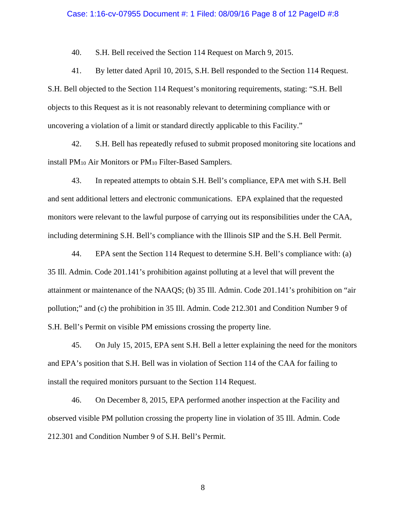#### Case: 1:16-cv-07955 Document #: 1 Filed: 08/09/16 Page 8 of 12 PageID #:8

40. S.H. Bell received the Section 114 Request on March 9, 2015.

41. By letter dated April 10, 2015, S.H. Bell responded to the Section 114 Request. S.H. Bell objected to the Section 114 Request's monitoring requirements, stating: "S.H. Bell objects to this Request as it is not reasonably relevant to determining compliance with or uncovering a violation of a limit or standard directly applicable to this Facility."

42. S.H. Bell has repeatedly refused to submit proposed monitoring site locations and install PM10 Air Monitors or PM10 Filter-Based Samplers.

43. In repeated attempts to obtain S.H. Bell's compliance, EPA met with S.H. Bell and sent additional letters and electronic communications. EPA explained that the requested monitors were relevant to the lawful purpose of carrying out its responsibilities under the CAA, including determining S.H. Bell's compliance with the Illinois SIP and the S.H. Bell Permit.

44. EPA sent the Section 114 Request to determine S.H. Bell's compliance with: (a) 35 Ill. Admin. Code 201.141's prohibition against polluting at a level that will prevent the attainment or maintenance of the NAAQS; (b) 35 Ill. Admin. Code 201.141's prohibition on "air pollution;" and (c) the prohibition in 35 Ill. Admin. Code 212.301 and Condition Number 9 of S.H. Bell's Permit on visible PM emissions crossing the property line.

45. On July 15, 2015, EPA sent S.H. Bell a letter explaining the need for the monitors and EPA's position that S.H. Bell was in violation of Section 114 of the CAA for failing to install the required monitors pursuant to the Section 114 Request.

46. On December 8, 2015, EPA performed another inspection at the Facility and observed visible PM pollution crossing the property line in violation of 35 Ill. Admin. Code 212.301 and Condition Number 9 of S.H. Bell's Permit.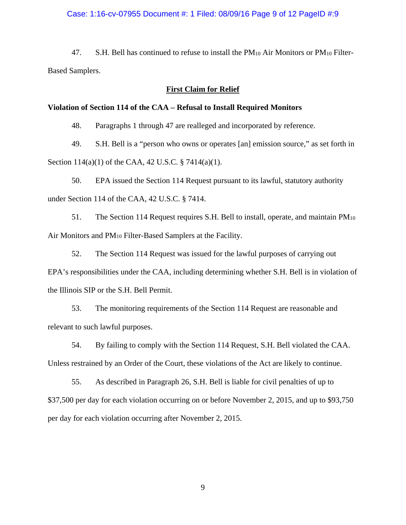### Case: 1:16-cv-07955 Document #: 1 Filed: 08/09/16 Page 9 of 12 PageID #:9

47. S.H. Bell has continued to refuse to install the  $PM_{10}$  Air Monitors or  $PM_{10}$  Filter-Based Samplers.

### **First Claim for Relief**

### **Violation of Section 114 of the CAA – Refusal to Install Required Monitors**

48. Paragraphs 1 through 47 are realleged and incorporated by reference.

49. S.H. Bell is a "person who owns or operates [an] emission source," as set forth in Section 114(a)(1) of the CAA, 42 U.S.C. § 7414(a)(1).

50. EPA issued the Section 114 Request pursuant to its lawful, statutory authority under Section 114 of the CAA, 42 U.S.C. § 7414.

51. The Section 114 Request requires S.H. Bell to install, operate, and maintain PM10 Air Monitors and PM<sub>10</sub> Filter-Based Samplers at the Facility.

52. The Section 114 Request was issued for the lawful purposes of carrying out EPA's responsibilities under the CAA, including determining whether S.H. Bell is in violation of the Illinois SIP or the S.H. Bell Permit.

53. The monitoring requirements of the Section 114 Request are reasonable and relevant to such lawful purposes.

54. By failing to comply with the Section 114 Request, S.H. Bell violated the CAA. Unless restrained by an Order of the Court, these violations of the Act are likely to continue.

55. As described in Paragraph 26, S.H. Bell is liable for civil penalties of up to \$37,500 per day for each violation occurring on or before November 2, 2015, and up to \$93,750 per day for each violation occurring after November 2, 2015.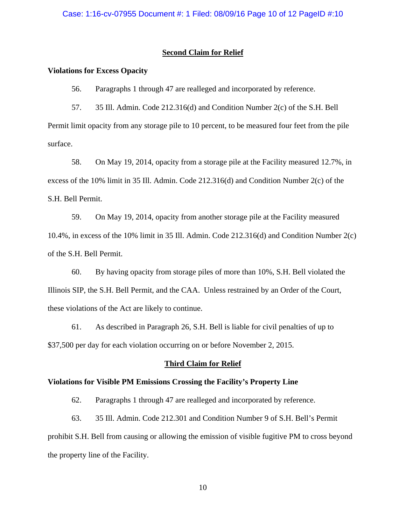# **Second Claim for Relief**

### **Violations for Excess Opacity**

56. Paragraphs 1 through 47 are realleged and incorporated by reference.

57. 35 Ill. Admin. Code 212.316(d) and Condition Number 2(c) of the S.H. Bell Permit limit opacity from any storage pile to 10 percent, to be measured four feet from the pile surface.

58. On May 19, 2014, opacity from a storage pile at the Facility measured 12.7%, in excess of the 10% limit in 35 Ill. Admin. Code 212.316(d) and Condition Number 2(c) of the S.H. Bell Permit.

59. On May 19, 2014, opacity from another storage pile at the Facility measured 10.4%, in excess of the 10% limit in 35 Ill. Admin. Code 212.316(d) and Condition Number 2(c) of the S.H. Bell Permit.

60. By having opacity from storage piles of more than 10%, S.H. Bell violated the Illinois SIP, the S.H. Bell Permit, and the CAA. Unless restrained by an Order of the Court, these violations of the Act are likely to continue.

61. As described in Paragraph 26, S.H. Bell is liable for civil penalties of up to \$37,500 per day for each violation occurring on or before November 2, 2015.

### **Third Claim for Relief**

### **Violations for Visible PM Emissions Crossing the Facility's Property Line**

62. Paragraphs 1 through 47 are realleged and incorporated by reference.

63. 35 Ill. Admin. Code 212.301 and Condition Number 9 of S.H. Bell's Permit prohibit S.H. Bell from causing or allowing the emission of visible fugitive PM to cross beyond the property line of the Facility.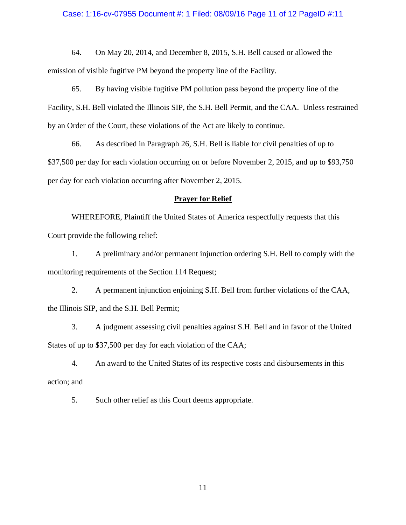### Case: 1:16-cv-07955 Document #: 1 Filed: 08/09/16 Page 11 of 12 PageID #:11

64. On May 20, 2014, and December 8, 2015, S.H. Bell caused or allowed the emission of visible fugitive PM beyond the property line of the Facility.

65. By having visible fugitive PM pollution pass beyond the property line of the Facility, S.H. Bell violated the Illinois SIP, the S.H. Bell Permit, and the CAA. Unless restrained by an Order of the Court, these violations of the Act are likely to continue.

66. As described in Paragraph 26, S.H. Bell is liable for civil penalties of up to \$37,500 per day for each violation occurring on or before November 2, 2015, and up to \$93,750 per day for each violation occurring after November 2, 2015.

## **Prayer for Relief**

 WHEREFORE, Plaintiff the United States of America respectfully requests that this Court provide the following relief:

1. A preliminary and/or permanent injunction ordering S.H. Bell to comply with the monitoring requirements of the Section 114 Request;

2. A permanent injunction enjoining S.H. Bell from further violations of the CAA, the Illinois SIP, and the S.H. Bell Permit;

3. A judgment assessing civil penalties against S.H. Bell and in favor of the United States of up to \$37,500 per day for each violation of the CAA;

4. An award to the United States of its respective costs and disbursements in this action; and

5. Such other relief as this Court deems appropriate.